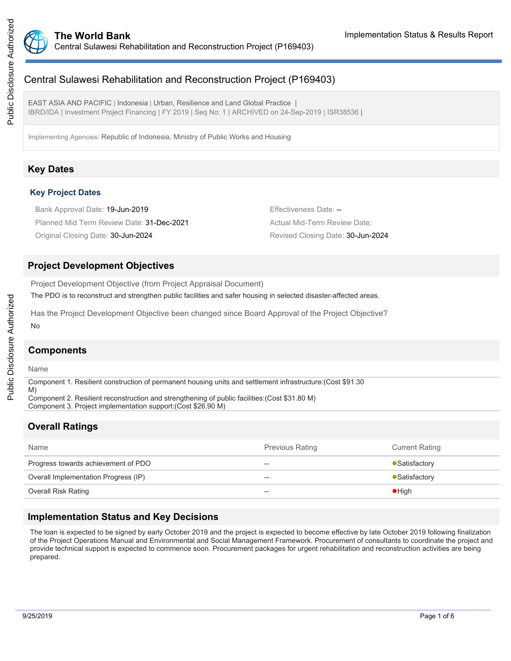

# Central Sulawesi Rehabilitation and Reconstruction Project (P169403)

EAST ASIA AND PACIFIC | Indonesia | Urban, Resilience and Land Global Practice | IBRD/IDA | Investment Project Financing | FY 2019 | Seq No: 1 | ARCHIVED on 24-Sep-2019 | ISR38536 |

Implementing Agencies: Republic of Indonesia, Ministry of Public Works and Housing

# **Key Dates**

### **Key Project Dates**

Bank Approval Date: 19-Jun-2019 **Effectiveness** Date: --Planned Mid Term Review Date: 31-Dec-2021 Actual Mid-Term Review Date: Original Closing Date: 30-Jun-2024 Revised Closing Date: 30-Jun-2024

### **Project Development Objectives**

Project Development Objective (from Project Appraisal Document)

The PDO is to reconstruct and strengthen public facilities and safer housing in selected disaster-affected areas.

Has the Project Development Objective been changed since Board Approval of the Project Objective? No

#### **Components**

Name

Component 1. Resilient construction of permanent housing units and settlement infrastructure:(Cost \$91.30

M) Component 2. Resilient reconstruction and strengthening of public facilities:(Cost \$31.80 M)

Component 3. Project implementation support:(Cost \$26.90 M)

# **Overall Ratings**

| Name                                 | <b>Previous Rating</b> | <b>Current Rating</b> |
|--------------------------------------|------------------------|-----------------------|
| Progress towards achievement of PDO  | $- -$                  | • Satisfactory        |
| Overall Implementation Progress (IP) | $- -$                  | • Satisfactory        |
| <b>Overall Risk Rating</b>           | $- -$                  | $\bullet$ High        |

### **Implementation Status and Key Decisions**

The loan is expected to be signed by early October 2019 and the project is expected to become effective by late October 2019 following finalization of the Project Operations Manual and Environmental and Social Management Framework. Procurement of consultants to coordinate the project and provide technical support is expected to commence soon. Procurement packages for urgent rehabilitation and reconstruction activities are being prepared.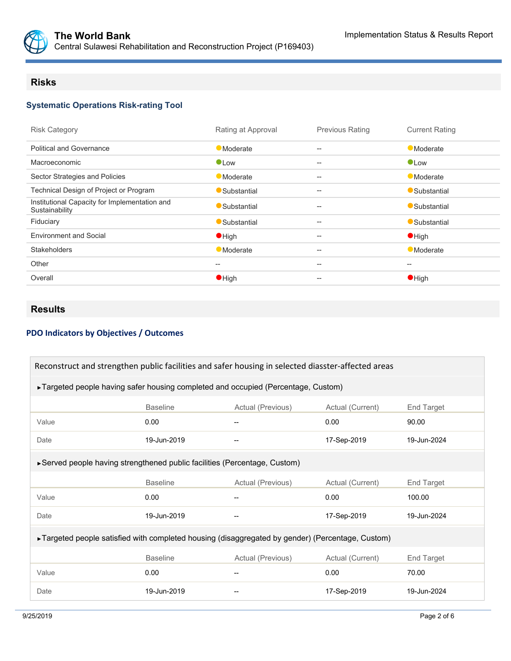

### **Risks**

# **Systematic Operations Risk-rating Tool**

| <b>Risk Category</b>                                            | Rating at Approval | <b>Previous Rating</b>                              | <b>Current Rating</b> |
|-----------------------------------------------------------------|--------------------|-----------------------------------------------------|-----------------------|
| <b>Political and Governance</b>                                 | <b>Moderate</b>    | --                                                  | <b>Moderate</b>       |
| Macroeconomic                                                   | $\bullet$ Low      | $\overline{\phantom{a}}$                            | $\bullet$ Low         |
| Sector Strategies and Policies                                  | <b>Moderate</b>    | --                                                  | <b>Moderate</b>       |
| Technical Design of Project or Program                          | Substantial        | $\hspace{0.05cm} -\hspace{0.05cm} -\hspace{0.05cm}$ | Substantial           |
| Institutional Capacity for Implementation and<br>Sustainability | Substantial        | $-$                                                 | Substantial           |
| Fiduciary                                                       | Substantial        | --                                                  | Substantial           |
| <b>Environment and Social</b>                                   | $\bullet$ High     | --                                                  | $\bullet$ High        |
| <b>Stakeholders</b>                                             | <b>Moderate</b>    | $\hspace{0.05cm} -\hspace{0.05cm} -\hspace{0.05cm}$ | <b>Moderate</b>       |
| Other                                                           | --                 | $\hspace{0.05cm} -\hspace{0.05cm} -\hspace{0.05cm}$ | --                    |
| Overall                                                         | $\bullet$ High     | $\hspace{0.05cm} -\hspace{0.05cm} -\hspace{0.05cm}$ | $\bullet$ High        |
|                                                                 |                    |                                                     |                       |

# **Results**

### **PDO Indicators by Objectives / Outcomes**

| Reconstruct and strengthen public facilities and safer housing in selected diasster-affected areas |                                                                            |                   |                            |                   |  |  |  |
|----------------------------------------------------------------------------------------------------|----------------------------------------------------------------------------|-------------------|----------------------------|-------------------|--|--|--|
| ►Targeted people having safer housing completed and occupied (Percentage, Custom)                  |                                                                            |                   |                            |                   |  |  |  |
|                                                                                                    | <b>Baseline</b><br>Actual (Previous)<br>Actual (Current)<br>End Target     |                   |                            |                   |  |  |  |
| Value                                                                                              | 0.00                                                                       |                   | 0.00                       | 90.00             |  |  |  |
| Date                                                                                               | 19-Jun-2019                                                                |                   | 17-Sep-2019                | 19-Jun-2024       |  |  |  |
|                                                                                                    | ► Served people having strengthened public facilities (Percentage, Custom) |                   |                            |                   |  |  |  |
|                                                                                                    | <b>Baseline</b>                                                            | Actual (Previous) | Actual (Current)           | <b>End Target</b> |  |  |  |
| Value                                                                                              | 0.00                                                                       |                   | 0.00                       | 100.00            |  |  |  |
| Date                                                                                               | 19-Jun-2019                                                                |                   | 17-Sep-2019<br>19-Jun-2024 |                   |  |  |  |
| ►Targeted people satisfied with completed housing (disaggregated by gender) (Percentage, Custom)   |                                                                            |                   |                            |                   |  |  |  |
|                                                                                                    | <b>Baseline</b>                                                            | Actual (Previous) | Actual (Current)           | End Target        |  |  |  |
| Value                                                                                              | 0.00                                                                       |                   | 0.00                       | 70.00             |  |  |  |
| Date                                                                                               | 19-Jun-2019                                                                |                   | 17-Sep-2019                | 19-Jun-2024       |  |  |  |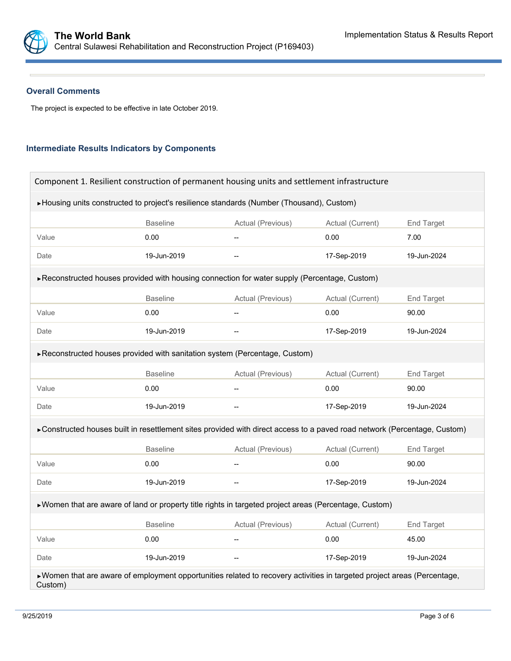#### **Overall Comments**

The project is expected to be effective in late October 2019.

#### **Intermediate Results Indicators by Components**

| Component 1. Resilient construction of permanent housing units and settlement infrastructure                                        |                 |                                                     |                  |             |  |  |
|-------------------------------------------------------------------------------------------------------------------------------------|-----------------|-----------------------------------------------------|------------------|-------------|--|--|
| ▶ Housing units constructed to project's resilience standards (Number (Thousand), Custom)                                           |                 |                                                     |                  |             |  |  |
|                                                                                                                                     | <b>Baseline</b> | Actual (Previous)<br>Actual (Current)<br>End Target |                  |             |  |  |
| Value                                                                                                                               | 0.00            |                                                     | 0.00             | 7.00        |  |  |
| Date                                                                                                                                | 19-Jun-2019     |                                                     | 19-Jun-2024      |             |  |  |
| ▶ Reconstructed houses provided with housing connection for water supply (Percentage, Custom)                                       |                 |                                                     |                  |             |  |  |
|                                                                                                                                     | <b>Baseline</b> | Actual (Previous)                                   | Actual (Current) | End Target  |  |  |
| Value                                                                                                                               | 0.00            | $\overline{\phantom{0}}$                            | 0.00             | 90.00       |  |  |
| Date                                                                                                                                | 19-Jun-2019     |                                                     | 17-Sep-2019      | 19-Jun-2024 |  |  |
| ► Reconstructed houses provided with sanitation system (Percentage, Custom)                                                         |                 |                                                     |                  |             |  |  |
|                                                                                                                                     | <b>Baseline</b> | Actual (Previous)                                   | Actual (Current) | End Target  |  |  |
| Value                                                                                                                               | 0.00            | $\overline{\phantom{a}}$                            | 0.00             | 90.00       |  |  |
| Date                                                                                                                                | 19-Jun-2019     |                                                     | 17-Sep-2019      | 19-Jun-2024 |  |  |
| ► Constructed houses built in resettlement sites provided with direct access to a paved road network (Percentage, Custom)           |                 |                                                     |                  |             |  |  |
|                                                                                                                                     | <b>Baseline</b> | Actual (Previous)                                   | Actual (Current) | End Target  |  |  |
| Value                                                                                                                               | 0.00            |                                                     | 0.00             | 90.00       |  |  |
| Date                                                                                                                                | 19-Jun-2019     |                                                     | 17-Sep-2019      | 19-Jun-2024 |  |  |
| ▶ Women that are aware of land or property title rights in targeted project areas (Percentage, Custom)                              |                 |                                                     |                  |             |  |  |
|                                                                                                                                     | <b>Baseline</b> | Actual (Previous)                                   | Actual (Current) | End Target  |  |  |
| Value                                                                                                                               | 0.00            |                                                     | 0.00             | 45.00       |  |  |
| Date                                                                                                                                | 19-Jun-2019     | $-$                                                 | 17-Sep-2019      | 19-Jun-2024 |  |  |
| ▶ Women that are aware of employment opportunities related to recovery activities in targeted project areas (Percentage,<br>Custom) |                 |                                                     |                  |             |  |  |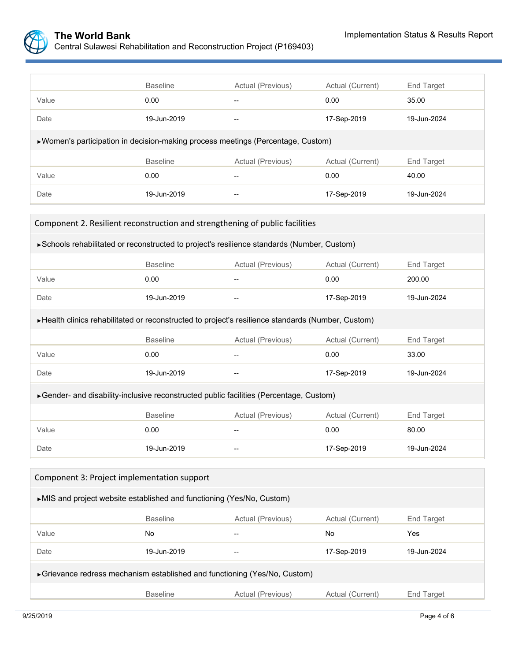

|                                                                                  | <b>Baseline</b> | Actual (Previous)                                                | Actual (Current) | <b>End Target</b> |  |
|----------------------------------------------------------------------------------|-----------------|------------------------------------------------------------------|------------------|-------------------|--|
| Value                                                                            | 0.00            | --                                                               | 0.00             | 35.00             |  |
| Date                                                                             | 19-Jun-2019     | 17-Sep-2019<br>$\hspace{0.05cm}-\hspace{0.05cm}-\hspace{0.05cm}$ |                  | 19-Jun-2024       |  |
| ▶ Women's participation in decision-making process meetings (Percentage, Custom) |                 |                                                                  |                  |                   |  |
|                                                                                  | <b>Baseline</b> | Actual (Previous)                                                | Actual (Current) | End Target        |  |
| Value                                                                            | 0.00            |                                                                  | 0.00             | 40.00             |  |
| Date                                                                             | 19-Jun-2019     | $\hspace{0.05cm}-\hspace{0.05cm}-\hspace{0.05cm}$                | 17-Sep-2019      | 19-Jun-2024       |  |
|                                                                                  |                 |                                                                  |                  |                   |  |

| Component 2. Resilient reconstruction and strengthening of public facilities                       |                 |                   |                            |                   |  |  |  |
|----------------------------------------------------------------------------------------------------|-----------------|-------------------|----------------------------|-------------------|--|--|--|
| ► Schools rehabilitated or reconstructed to project's resilience standards (Number, Custom)        |                 |                   |                            |                   |  |  |  |
|                                                                                                    | <b>Baseline</b> | Actual (Previous) | Actual (Current)           | End Target        |  |  |  |
| Value                                                                                              | 0.00            |                   | 0.00                       | 200.00            |  |  |  |
| Date                                                                                               | 19-Jun-2019     |                   | 19-Jun-2024<br>17-Sep-2019 |                   |  |  |  |
| ► Health clinics rehabilitated or reconstructed to project's resilience standards (Number, Custom) |                 |                   |                            |                   |  |  |  |
|                                                                                                    | <b>Baseline</b> | Actual (Previous) | Actual (Current)           | <b>End Target</b> |  |  |  |
| Value                                                                                              | 0.00            |                   | 0.00                       | 33.00             |  |  |  |
| Date                                                                                               | 19-Jun-2019     |                   | 17-Sep-2019                | 19-Jun-2024       |  |  |  |
| ►Gender- and disability-inclusive reconstructed public facilities (Percentage, Custom)             |                 |                   |                            |                   |  |  |  |
|                                                                                                    | <b>Baseline</b> | Actual (Previous) | Actual (Current)           | <b>End Target</b> |  |  |  |
| Value                                                                                              | 0.00            |                   | 0.00                       | 80.00             |  |  |  |
| Date                                                                                               | 19-Jun-2019     |                   | 17-Sep-2019                | 19-Jun-2024       |  |  |  |

| Component 3: Project implementation support                                                |                                                                        |    |             |             |  |  |  |  |
|--------------------------------------------------------------------------------------------|------------------------------------------------------------------------|----|-------------|-------------|--|--|--|--|
| $\blacktriangleright$ MIS and project website established and functioning (Yes/No, Custom) |                                                                        |    |             |             |  |  |  |  |
|                                                                                            | <b>Baseline</b><br>Actual (Previous)<br>End Target<br>Actual (Current) |    |             |             |  |  |  |  |
| Value                                                                                      | <b>No</b>                                                              |    | No          | Yes         |  |  |  |  |
| Date                                                                                       | 19-Jun-2019                                                            | -- | 17-Sep-2019 | 19-Jun-2024 |  |  |  |  |
| ► Grievance redress mechanism established and functioning (Yes/No, Custom)                 |                                                                        |    |             |             |  |  |  |  |
| Actual (Previous)<br><b>Baseline</b><br>Actual (Current)<br><b>End Target</b>              |                                                                        |    |             |             |  |  |  |  |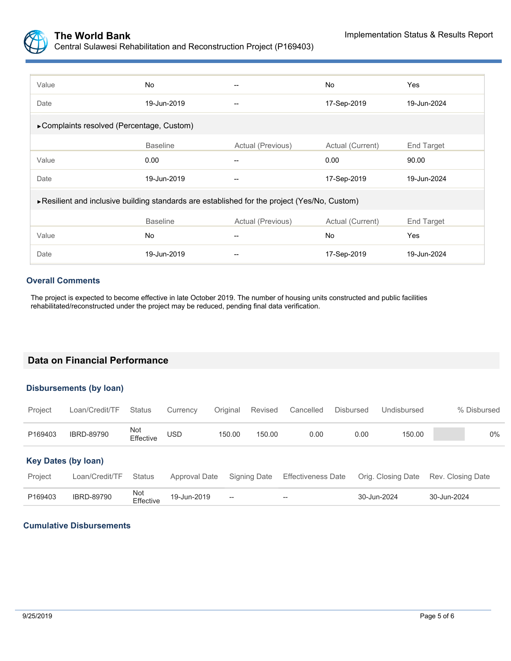

| Value                                                                                         | <b>No</b>       |                   | No               | Yes         |  |  |
|-----------------------------------------------------------------------------------------------|-----------------|-------------------|------------------|-------------|--|--|
| Date                                                                                          | 19-Jun-2019     | --                | 17-Sep-2019      | 19-Jun-2024 |  |  |
| ▶ Complaints resolved (Percentage, Custom)                                                    |                 |                   |                  |             |  |  |
|                                                                                               | <b>Baseline</b> | Actual (Previous) | Actual (Current) | End Target  |  |  |
| Value                                                                                         | 0.00            |                   | 0.00             | 90.00       |  |  |
| Date                                                                                          | 19-Jun-2019     |                   | 17-Sep-2019      | 19-Jun-2024 |  |  |
| ► Resilient and inclusive building standards are established for the project (Yes/No, Custom) |                 |                   |                  |             |  |  |
|                                                                                               | <b>Baseline</b> | Actual (Previous) | Actual (Current) | End Target  |  |  |
| Value                                                                                         | <b>No</b>       | --                | No               | Yes         |  |  |
| Date                                                                                          | 19-Jun-2019     |                   | 17-Sep-2019      | 19-Jun-2024 |  |  |

#### **Overall Comments**

The project is expected to become effective in late October 2019. The number of housing units constructed and public facilities rehabilitated/reconstructed under the project may be reduced, pending final data verification.

### **Data on Financial Performance**

#### **Disbursements (by loan)**

| Project                    | Loan/Credit/TF    | <b>Status</b>    | Currency      | Original                 | Revised      | Cancelled                 | <b>Disbursed</b> | Undisbursed        | % Disbursed       |
|----------------------------|-------------------|------------------|---------------|--------------------------|--------------|---------------------------|------------------|--------------------|-------------------|
| P169403                    | <b>IBRD-89790</b> | Not<br>Effective | <b>USD</b>    | 150.00                   | 150.00       | 0.00                      | 0.00             | 150.00             | $0\%$             |
| <b>Key Dates (by loan)</b> |                   |                  |               |                          |              |                           |                  |                    |                   |
| Project                    | Loan/Credit/TF    | <b>Status</b>    | Approval Date |                          | Signing Date | <b>Effectiveness Date</b> |                  | Orig. Closing Date | Rev. Closing Date |
| P169403                    | <b>IBRD-89790</b> | Not<br>Effective | 19-Jun-2019   | $\overline{\phantom{a}}$ |              | --                        |                  | 30-Jun-2024        | 30-Jun-2024       |

#### **Cumulative Disbursements**